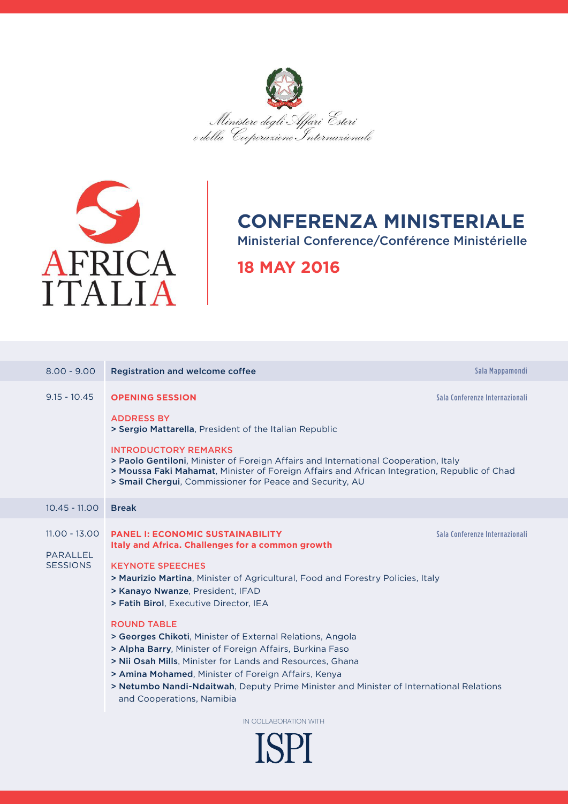



## **CONFERENZA MINISTERIALE**

Ministerial Conference/Conférence Ministérielle

## **18 MAY 2016**

| $8.00 - 9.00$                                         | <b>Registration and welcome coffee</b>                                                                                                                                                                                                                                                                                                                                                                                                                                                                                                                     | Sala Mappamondi                |  |  |
|-------------------------------------------------------|------------------------------------------------------------------------------------------------------------------------------------------------------------------------------------------------------------------------------------------------------------------------------------------------------------------------------------------------------------------------------------------------------------------------------------------------------------------------------------------------------------------------------------------------------------|--------------------------------|--|--|
| $9.15 - 10.45$                                        | <b>OPENING SESSION</b><br><b>ADDRESS BY</b><br>> Sergio Mattarella, President of the Italian Republic<br><b>INTRODUCTORY REMARKS</b><br>> Paolo Gentiloni, Minister of Foreign Affairs and International Cooperation, Italy<br>> Moussa Faki Mahamat, Minister of Foreign Affairs and African Integration, Republic of Chad<br>> Smail Chergui, Commissioner for Peace and Security, AU                                                                                                                                                                    | Sala Conferenze Internazionali |  |  |
| $10.45 - 11.00$                                       | <b>Break</b>                                                                                                                                                                                                                                                                                                                                                                                                                                                                                                                                               |                                |  |  |
| $11.00 - 13.00$<br><b>PARALLEL</b><br><b>SESSIONS</b> | <b>PANEL I: ECONOMIC SUSTAINABILITY</b><br>Italy and Africa. Challenges for a common growth<br><b>KEYNOTE SPEECHES</b><br>> Maurizio Martina, Minister of Agricultural, Food and Forestry Policies, Italy<br>> Kanayo Nwanze, President, IFAD<br>> Fatih Birol, Executive Director, IEA<br><b>ROUND TABLE</b><br>> Georges Chikoti, Minister of External Relations, Angola<br>> Alpha Barry, Minister of Foreign Affairs, Burkina Faso<br>> Nii Osah Mills, Minister for Lands and Resources, Ghana<br>> Amina Mohamed, Minister of Foreign Affairs, Kenya | Sala Conferenze Internazionali |  |  |
|                                                       | > Netumbo Nandi-Ndaitwah, Deputy Prime Minister and Minister of International Relations<br>and Cooperations, Namibia                                                                                                                                                                                                                                                                                                                                                                                                                                       |                                |  |  |
| IN COLLABORATION WITH                                 |                                                                                                                                                                                                                                                                                                                                                                                                                                                                                                                                                            |                                |  |  |
| IAN                                                   |                                                                                                                                                                                                                                                                                                                                                                                                                                                                                                                                                            |                                |  |  |

**ISPI**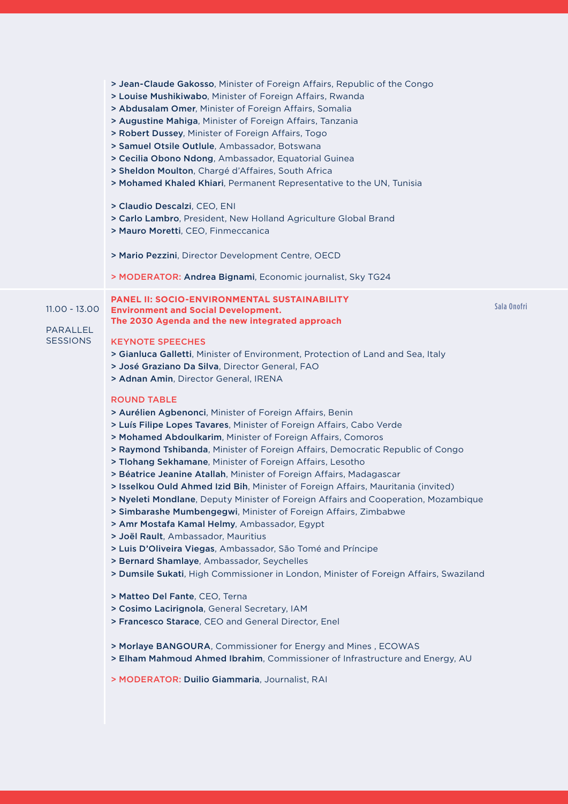|                             | > Jean-Claude Gakosso, Minister of Foreign Affairs, Republic of the Congo<br>> Louise Mushikiwabo, Minister of Foreign Affairs, Rwanda<br>> Abdusalam Omer, Minister of Foreign Affairs, Somalia<br>> Augustine Mahiga, Minister of Foreign Affairs, Tanzania<br>> Robert Dussey, Minister of Foreign Affairs, Togo<br>> Samuel Otsile Outlule, Ambassador, Botswana<br>> Cecilia Obono Ndong, Ambassador, Equatorial Guinea<br>> Sheldon Moulton, Chargé d'Affaires, South Africa<br>> Mohamed Khaled Khiari, Permanent Representative to the UN, Tunisia<br>> Claudio Descalzi, CEO, ENI<br>> Carlo Lambro, President, New Holland Agriculture Global Brand<br>> Mauro Moretti, CEO, Finmeccanica<br>> Mario Pezzini, Director Development Centre, OECD<br>> MODERATOR: Andrea Bignami, Economic journalist, Sky TG24                                                                                                                                                                                                                                                                                                                                                                                                                                                                                                                                                                                                                                                                                                                      |             |
|-----------------------------|----------------------------------------------------------------------------------------------------------------------------------------------------------------------------------------------------------------------------------------------------------------------------------------------------------------------------------------------------------------------------------------------------------------------------------------------------------------------------------------------------------------------------------------------------------------------------------------------------------------------------------------------------------------------------------------------------------------------------------------------------------------------------------------------------------------------------------------------------------------------------------------------------------------------------------------------------------------------------------------------------------------------------------------------------------------------------------------------------------------------------------------------------------------------------------------------------------------------------------------------------------------------------------------------------------------------------------------------------------------------------------------------------------------------------------------------------------------------------------------------------------------------------------------------|-------------|
| $11.00 - 13.00$<br>PARALLEL | <b>PANEL II: SOCIO-ENVIRONMENTAL SUSTAINABILITY</b><br><b>Environment and Social Development.</b><br>The 2030 Agenda and the new integrated approach                                                                                                                                                                                                                                                                                                                                                                                                                                                                                                                                                                                                                                                                                                                                                                                                                                                                                                                                                                                                                                                                                                                                                                                                                                                                                                                                                                                         | Sala Onofri |
| <b>SESSIONS</b>             | <b>KEYNOTE SPEECHES</b><br>> Gianluca Galletti, Minister of Environment, Protection of Land and Sea, Italy<br>> José Graziano Da Silva, Director General, FAO<br>> Adnan Amin, Director General, IRENA<br><b>ROUND TABLE</b><br>> Aurélien Agbenonci, Minister of Foreign Affairs, Benin<br>> Luís Filipe Lopes Tavares, Minister of Foreign Affairs, Cabo Verde<br>> Mohamed Abdoulkarim, Minister of Foreign Affairs, Comoros<br>> Raymond Tshibanda, Minister of Foreign Affairs, Democratic Republic of Congo<br>> Tlohang Sekhamane, Minister of Foreign Affairs, Lesotho<br>> Béatrice Jeanine Atallah, Minister of Foreign Affairs, Madagascar<br>> Isselkou Ould Ahmed Izid Bih, Minister of Foreign Affairs, Mauritania (invited)<br>> Nyeleti Mondlane, Deputy Minister of Foreign Affairs and Cooperation, Mozambique<br>> Simbarashe Mumbengegwi, Minister of Foreign Affairs, Zimbabwe<br>> Amr Mostafa Kamal Helmy, Ambassador, Egypt<br>> Joël Rault, Ambassador, Mauritius<br>> Luis D'Oliveira Viegas, Ambassador, São Tomé and Príncipe<br>> Bernard Shamlaye, Ambassador, Seychelles<br>> Dumsile Sukati, High Commissioner in London, Minister of Foreign Affairs, Swaziland<br>> Matteo Del Fante, CEO, Terna<br>> Cosimo Lacirignola, General Secretary, IAM<br>> Francesco Starace, CEO and General Director, Enel<br>> Morlaye BANGOURA, Commissioner for Energy and Mines, ECOWAS<br>> Elham Mahmoud Ahmed Ibrahim, Commissioner of Infrastructure and Energy, AU<br>> MODERATOR: Duilio Giammaria, Journalist, RAI |             |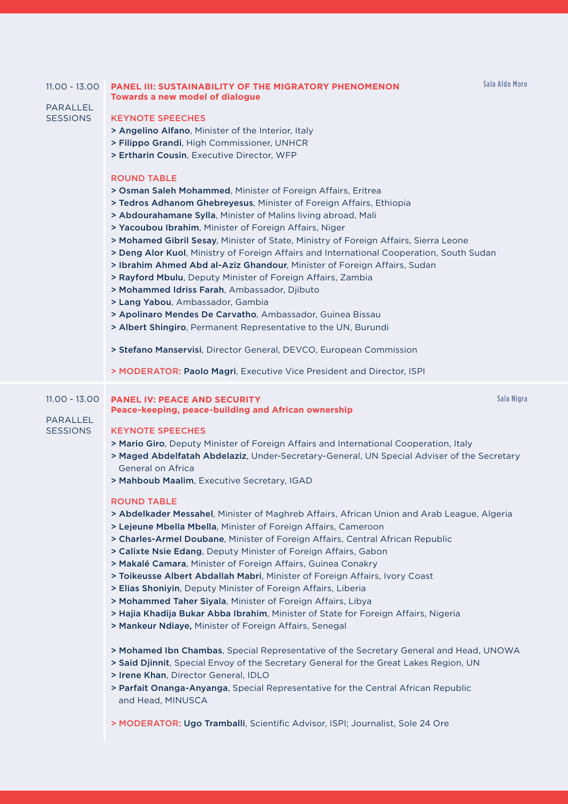| $11.00 - 13.00$<br>PARALLEL<br><b>SESSIONS</b>        | <b>PANEL III: SUSTAINABILITY OF THE MIGRATORY PHENOMENON</b><br><b>Towards a new model of dialogue</b><br><b>KEYNOTE SPEECHES</b><br>> Angelino Alfano, Minister of the Interior, Italy<br>> Filippo Grandi, High Commissioner, UNHCR<br>> Ertharin Cousin, Executive Director, WFP<br><b>ROUND TABLE</b><br>> Osman Saleh Mohammed, Minister of Foreign Affairs, Eritrea<br>> Tedros Adhanom Ghebreyesus, Minister of Foreign Affairs, Ethiopia<br>> Abdourahamane Sylla, Minister of Malins living abroad, Mali<br>> Yacoubou Ibrahim, Minister of Foreign Affairs, Niger<br>> Mohamed Gibril Sesay, Minister of State, Ministry of Foreign Affairs, Sierra Leone<br>> Deng Alor Kuol, Ministry of Foreign Affairs and International Cooperation, South Sudan<br>> Ibrahim Ahmed Abd al-Aziz Ghandour, Minister of Foreign Affairs, Sudan<br>> Rayford Mbulu, Deputy Minister of Foreign Affairs, Zambia<br>> Mohammed Idriss Farah, Ambassador, Djibuto<br>> Lang Yabou, Ambassador, Gambia<br>> Apolinaro Mendes De Carvatho, Ambassador, Guinea Bissau<br>> Albert Shingiro, Permanent Representative to the UN, Burundi<br>> Stefano Manservisi, Director General, DEVCO, European Commission<br>> MODERATOR: Paolo Magri, Executive Vice President and Director, ISPI | Sala Aldo Moro |
|-------------------------------------------------------|------------------------------------------------------------------------------------------------------------------------------------------------------------------------------------------------------------------------------------------------------------------------------------------------------------------------------------------------------------------------------------------------------------------------------------------------------------------------------------------------------------------------------------------------------------------------------------------------------------------------------------------------------------------------------------------------------------------------------------------------------------------------------------------------------------------------------------------------------------------------------------------------------------------------------------------------------------------------------------------------------------------------------------------------------------------------------------------------------------------------------------------------------------------------------------------------------------------------------------------------------------------------------|----------------|
| $11.00 - 13.00$<br><b>PARALLEL</b><br><b>SESSIONS</b> | <b>PANEL IV: PEACE AND SECURITY</b><br>Peace-keeping, peace-building and African ownership<br><b>KEYNOTE SPEECHES</b><br>> Mario Giro, Deputy Minister of Foreign Affairs and International Cooperation, Italy<br>> Maged Abdelfatah Abdelaziz, Under-Secretary-General, UN Special Adviser of the Secretary<br>General on Africa<br>> Mahboub Maalim, Executive Secretary, IGAD<br><b>ROUND TABLE</b><br>> Abdelkader Messahel, Minister of Maghreb Affairs, African Union and Arab League, Algeria<br>> Lejeune Mbella Mbella, Minister of Foreign Affairs, Cameroon<br>> Charles-Armel Doubane, Minister of Foreign Affairs, Central African Republic<br>> Calixte Nsie Edang, Deputy Minister of Foreign Affairs, Gabon<br>> Makalé Camara, Minister of Foreign Affairs, Guinea Conakry<br>> Toikeusse Albert Abdallah Mabri, Minister of Foreign Affairs, Ivory Coast<br>> Elias Shoniyin, Deputy Minister of Foreign Affairs, Liberia<br>> Mohammed Taher Siyala, Minister of Foreign Affairs, Libya<br>> Hajia Khadija Bukar Abba Ibrahim, Minister of State for Foreign Affairs, Nigeria<br>> Mankeur Ndiaye, Minister of Foreign Affairs, Senegal                                                                                                                   | Sala Nigra     |

> Mohamed Ibn Chambas, Special Representative of the Secretary General and Head, UNOWA

> Said Djinnit, Special Envoy of the Secretary General for the Great Lakes Region, UN

> Irene Khan, Director General, IDLO

> Parfait Onanga-Anyanga, Special Representative for the Central African Republic and Head, MINUSCA

> MODERATOR: Ugo Tramballi, Scientific Advisor, ISPI; Journalist, Sole 24 Ore